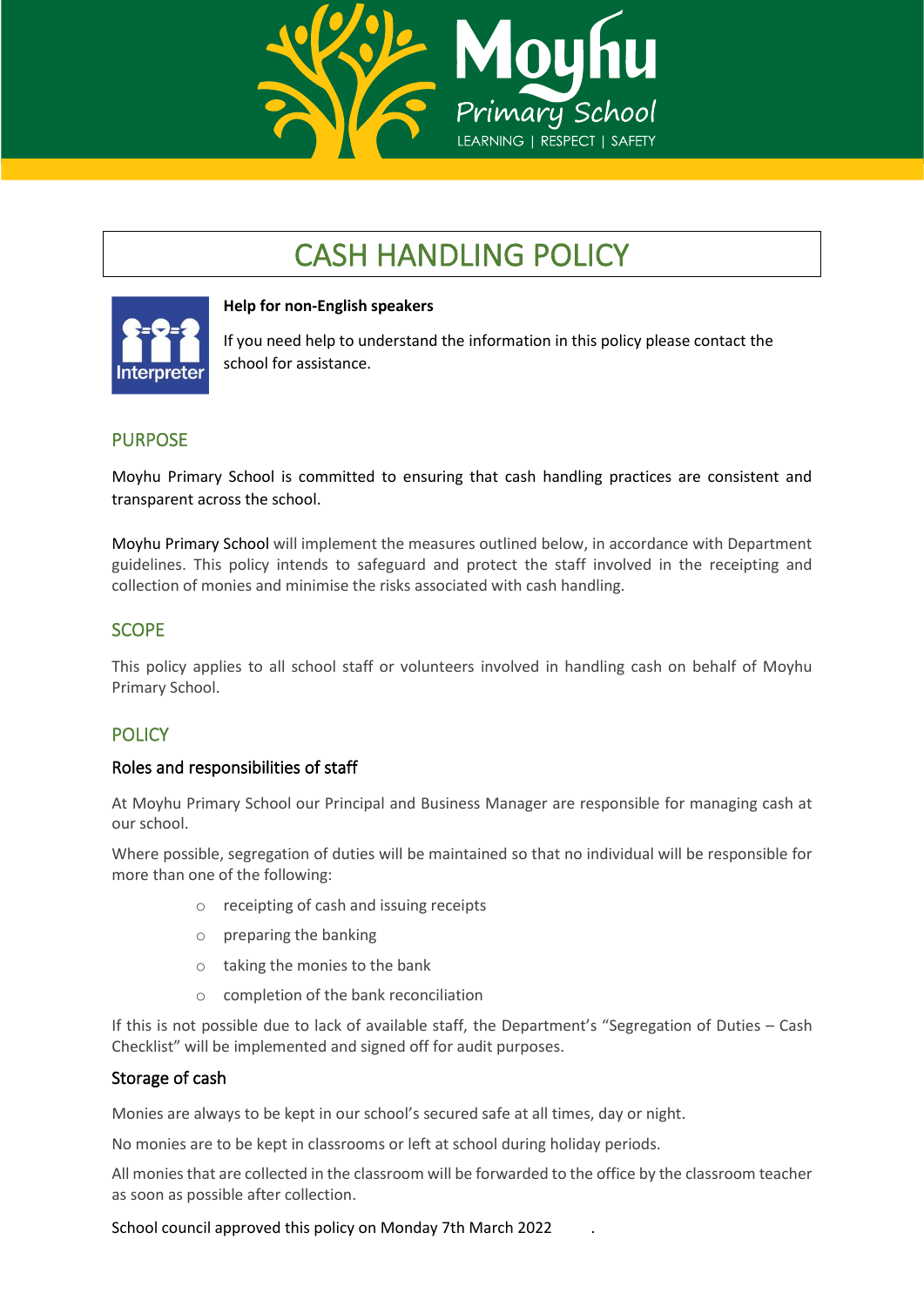

# CASH HANDLING POLICY



#### **Help for non-English speakers**

If you need help to understand the information in this policy please contact the school for assistance.

# PURPOSE

Moyhu Primary School is committed to ensuring that cash handling practices are consistent and transparent across the school.

Moyhu Primary School will implement the measures outlined below, in accordance with Department guidelines. This policy intends to safeguard and protect the staff involved in the receipting and collection of monies and minimise the risks associated with cash handling.

# **SCOPE**

This policy applies to all school staff or volunteers involved in handling cash on behalf of Moyhu Primary School.

## **POLICY**

#### Roles and responsibilities of staff

At Moyhu Primary School our Principal and Business Manager are responsible for managing cash at our school.

Where possible, segregation of duties will be maintained so that no individual will be responsible for more than one of the following:

- o receipting of cash and issuing receipts
- o preparing the banking
- o taking the monies to the bank
- o completion of the bank reconciliation

If this is not possible due to lack of available staff, the Department's "Segregation of Duties – Cash Checklist" will be implemented and signed off for audit purposes.

#### Storage of cash

Monies are always to be kept in our school's secured safe at all times, day or night.

No monies are to be kept in classrooms or left at school during holiday periods.

All monies that are collected in the classroom will be forwarded to the office by the classroom teacher as soon as possible after collection.

School council approved this policy on Monday 7th March 2022 .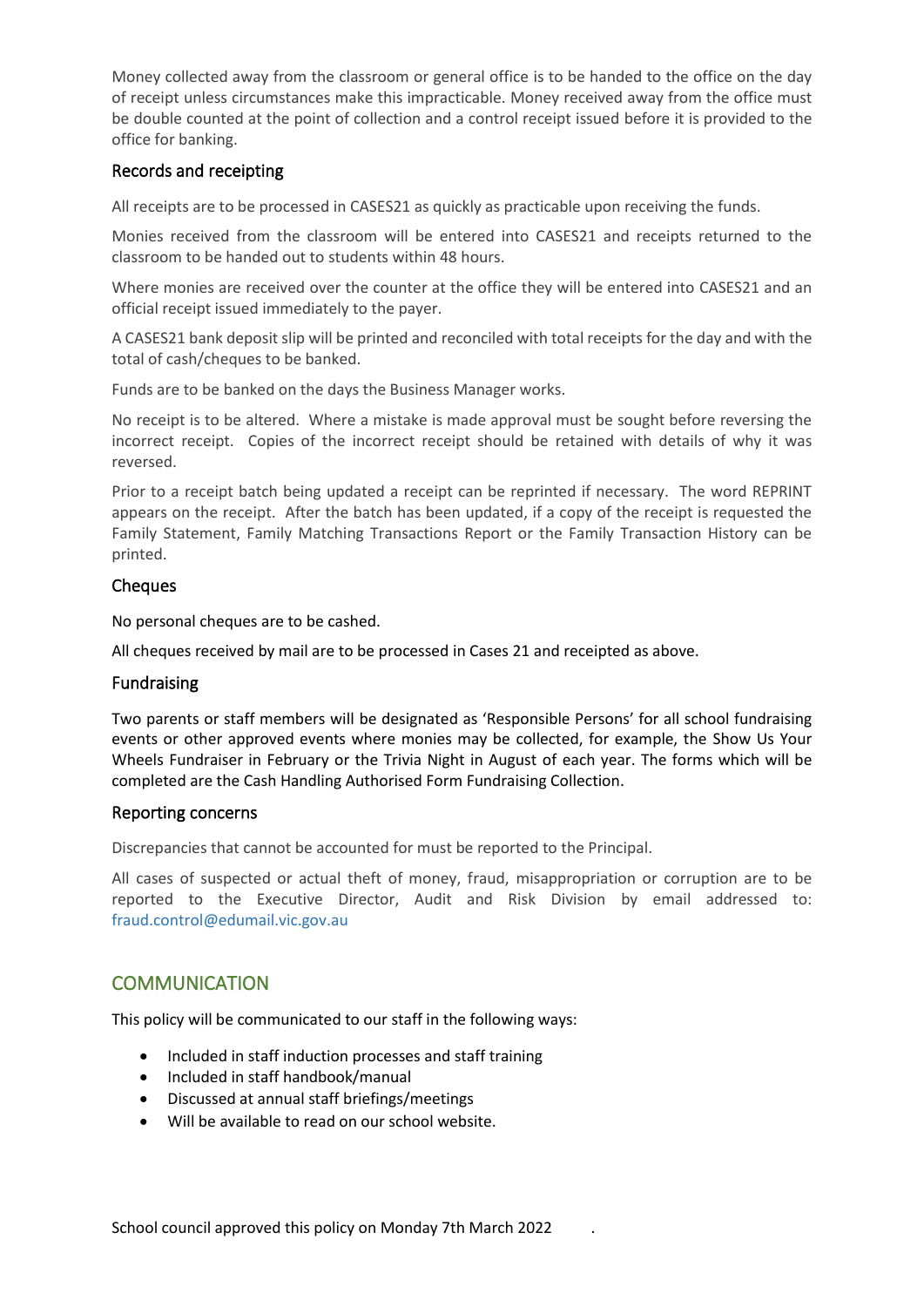Money collected away from the classroom or general office is to be handed to the office on the day of receipt unless circumstances make this impracticable. Money received away from the office must be double counted at the point of collection and a control receipt issued before it is provided to the office for banking.

#### Records and receipting

All receipts are to be processed in CASES21 as quickly as practicable upon receiving the funds.

Monies received from the classroom will be entered into CASES21 and receipts returned to the classroom to be handed out to students within 48 hours.

Where monies are received over the counter at the office they will be entered into CASES21 and an official receipt issued immediately to the payer.

A CASES21 bank deposit slip will be printed and reconciled with total receipts for the day and with the total of cash/cheques to be banked.

Funds are to be banked on the days the Business Manager works.

No receipt is to be altered. Where a mistake is made approval must be sought before reversing the incorrect receipt. Copies of the incorrect receipt should be retained with details of why it was reversed.

Prior to a receipt batch being updated a receipt can be reprinted if necessary. The word REPRINT appears on the receipt. After the batch has been updated, if a copy of the receipt is requested the Family Statement, Family Matching Transactions Report or the Family Transaction History can be printed.

#### **Cheques**

No personal cheques are to be cashed.

All cheques received by mail are to be processed in Cases 21 and receipted as above.

#### Fundraising

Two parents or staff members will be designated as 'Responsible Persons' for all school fundraising events or other approved events where monies may be collected, for example, the Show Us Your Wheels Fundraiser in February or the Trivia Night in August of each year. The forms which will be completed are the Cash Handling Authorised Form Fundraising Collection.

#### Reporting concerns

Discrepancies that cannot be accounted for must be reported to the Principal.

All cases of suspected or actual theft of money, fraud, misappropriation or corruption are to be reported to the Executive Director, Audit and Risk Division by email addressed to: [fraud.control@edumail.vic.gov.au](mailto:fraud.control@edumail.vic.gov.au%0D%20%20%20%20%20%20or)

## **COMMUNICATION**

This policy will be communicated to our staff in the following ways:

- Included in staff induction processes and staff training
- Included in staff handbook/manual
- Discussed at annual staff briefings/meetings
- Will be available to read on our school website.